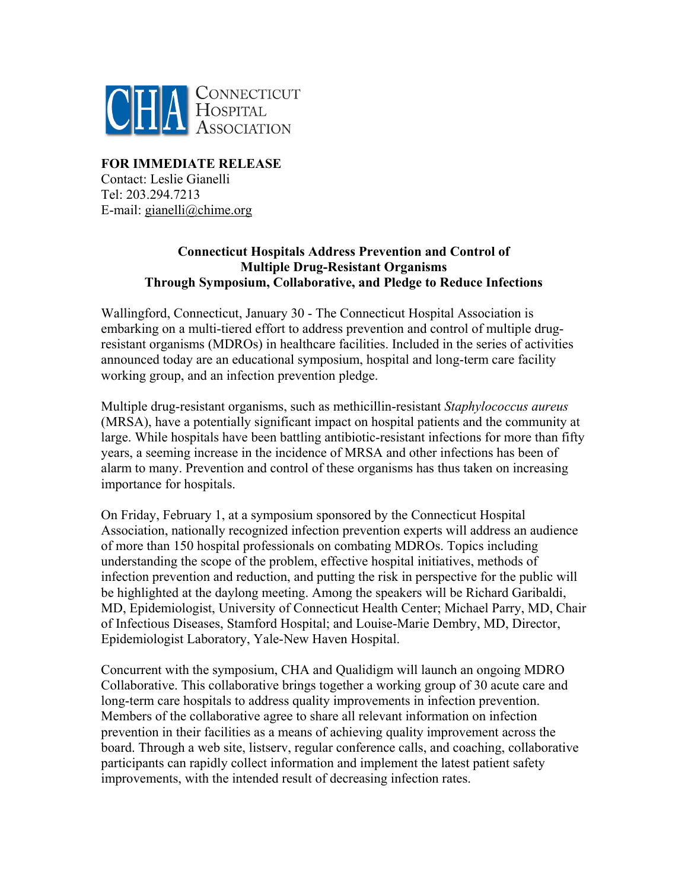

# **FOR IMMEDIATE RELEASE**  Contact: Leslie Gianelli Tel: 203.294.7213 E-mail: gianelli@chime.org

# **Connecticut Hospitals Address Prevention and Control of Multiple Drug-Resistant Organisms Through Symposium, Collaborative, and Pledge to Reduce Infections**

Wallingford, Connecticut, January 30 - The Connecticut Hospital Association is embarking on a multi-tiered effort to address prevention and control of multiple drugresistant organisms (MDROs) in healthcare facilities. Included in the series of activities announced today are an educational symposium, hospital and long-term care facility working group, and an infection prevention pledge.

Multiple drug-resistant organisms, such as methicillin-resistant *Staphylococcus aureus* (MRSA), have a potentially significant impact on hospital patients and the community at large. While hospitals have been battling antibiotic-resistant infections for more than fifty years, a seeming increase in the incidence of MRSA and other infections has been of alarm to many. Prevention and control of these organisms has thus taken on increasing importance for hospitals.

On Friday, February 1, at a symposium sponsored by the Connecticut Hospital Association, nationally recognized infection prevention experts will address an audience of more than 150 hospital professionals on combating MDROs. Topics including understanding the scope of the problem, effective hospital initiatives, methods of infection prevention and reduction, and putting the risk in perspective for the public will be highlighted at the daylong meeting. Among the speakers will be Richard Garibaldi, MD, Epidemiologist, University of Connecticut Health Center; Michael Parry, MD, Chair of Infectious Diseases, Stamford Hospital; and Louise-Marie Dembry, MD, Director, Epidemiologist Laboratory, Yale-New Haven Hospital.

Concurrent with the symposium, CHA and Qualidigm will launch an ongoing MDRO Collaborative. This collaborative brings together a working group of 30 acute care and long-term care hospitals to address quality improvements in infection prevention. Members of the collaborative agree to share all relevant information on infection prevention in their facilities as a means of achieving quality improvement across the board. Through a web site, listserv, regular conference calls, and coaching, collaborative participants can rapidly collect information and implement the latest patient safety improvements, with the intended result of decreasing infection rates.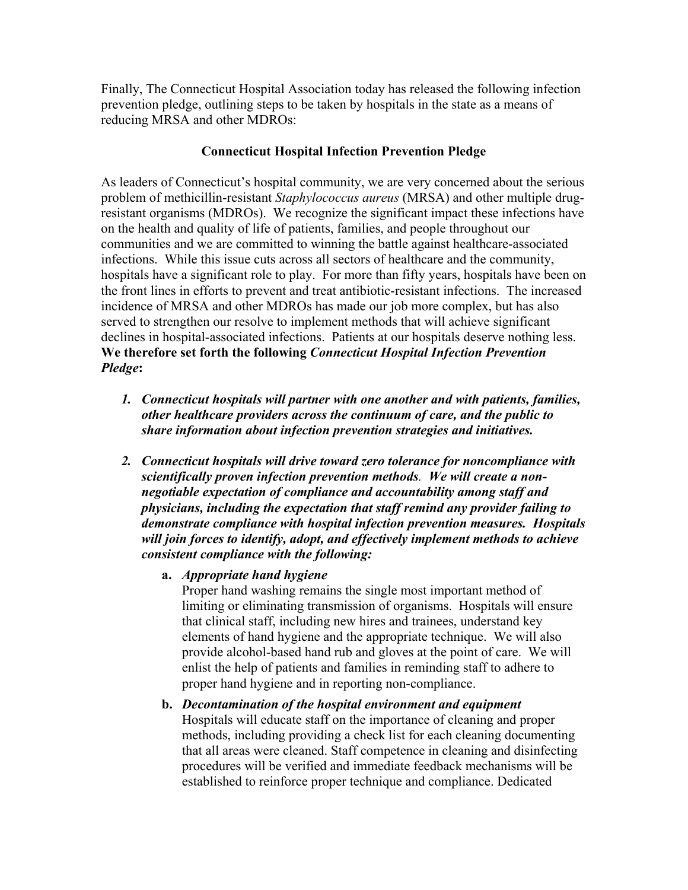Finally, The Connecticut Hospital Association today has released the following infection prevention pledge, outlining steps to be taken by hospitals in the state as a means of reducing MRSA and other MDROs:

# **Connecticut Hospital Infection Prevention Pledge**

As leaders of Connecticut's hospital community, we are very concerned about the serious problem of methicillin-resistant *Staphylococcus aureus* (MRSA) and other multiple drugresistant organisms (MDROs). We recognize the significant impact these infections have on the health and quality of life of patients, families, and people throughout our communities and we are committed to winning the battle against healthcare-associated infections. While this issue cuts across all sectors of healthcare and the community, hospitals have a significant role to play. For more than fifty years, hospitals have been on the front lines in efforts to prevent and treat antibiotic-resistant infections. The increased incidence of MRSA and other MDROs has made our job more complex, but has also served to strengthen our resolve to implement methods that will achieve significant declines in hospital-associated infections. Patients at our hospitals deserve nothing less. **We therefore set forth the following** *Connecticut Hospital Infection Prevention Pledge***:** 

- *1. Connecticut hospitals will partner with one another and with patients, families, other healthcare providers across the continuum of care, and the public to share information about infection prevention strategies and initiatives.*
- *2. Connecticut hospitals will drive toward zero tolerance for noncompliance with scientifically proven infection prevention methods. We will create a nonnegotiable expectation of compliance and accountability among staff and physicians, including the expectation that staff remind any provider failing to demonstrate compliance with hospital infection prevention measures. Hospitals will join forces to identify, adopt, and effectively implement methods to achieve consistent compliance with the following:* 
	- **a.** *Appropriate hand hygiene*

Proper hand washing remains the single most important method of limiting or eliminating transmission of organisms. Hospitals will ensure that clinical staff, including new hires and trainees, understand key elements of hand hygiene and the appropriate technique. We will also provide alcohol-based hand rub and gloves at the point of care. We will enlist the help of patients and families in reminding staff to adhere to proper hand hygiene and in reporting non-compliance.

**b.** *Decontamination of the hospital environment and equipment*  Hospitals will educate staff on the importance of cleaning and proper methods, including providing a check list for each cleaning documenting that all areas were cleaned. Staff competence in cleaning and disinfecting procedures will be verified and immediate feedback mechanisms will be established to reinforce proper technique and compliance. Dedicated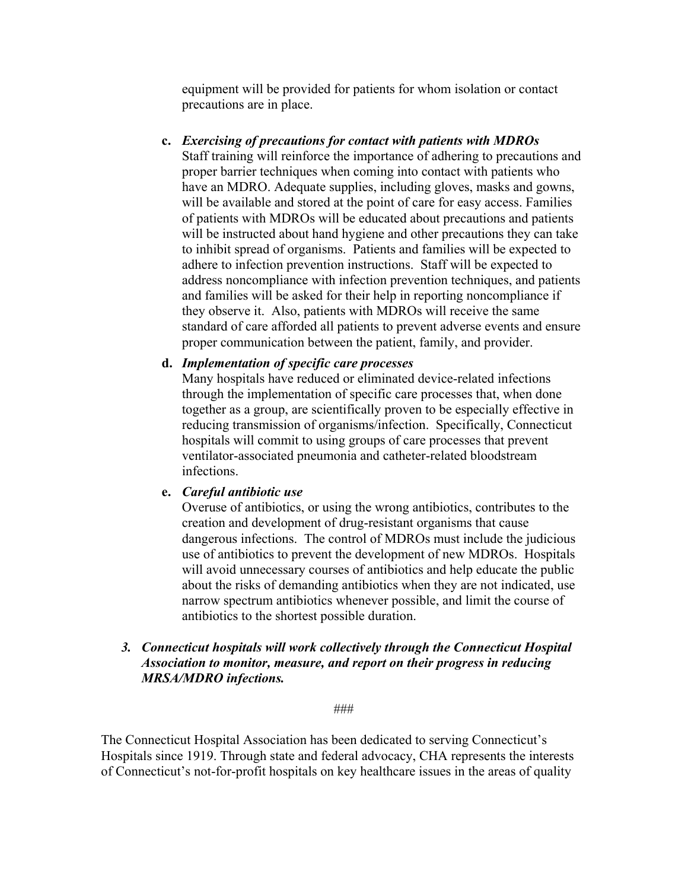equipment will be provided for patients for whom isolation or contact precautions are in place.

**c.** *Exercising of precautions for contact with patients with MDROs*  Staff training will reinforce the importance of adhering to precautions and proper barrier techniques when coming into contact with patients who have an MDRO. Adequate supplies, including gloves, masks and gowns, will be available and stored at the point of care for easy access. Families of patients with MDROs will be educated about precautions and patients will be instructed about hand hygiene and other precautions they can take to inhibit spread of organisms. Patients and families will be expected to adhere to infection prevention instructions. Staff will be expected to address noncompliance with infection prevention techniques, and patients and families will be asked for their help in reporting noncompliance if they observe it. Also, patients with MDROs will receive the same standard of care afforded all patients to prevent adverse events and ensure proper communication between the patient, family, and provider.

### **d.** *Implementation of specific care processes*

Many hospitals have reduced or eliminated device-related infections through the implementation of specific care processes that, when done together as a group, are scientifically proven to be especially effective in reducing transmission of organisms/infection. Specifically, Connecticut hospitals will commit to using groups of care processes that prevent ventilator-associated pneumonia and catheter-related bloodstream infections.

#### **e.** *Careful antibiotic use*

Overuse of antibiotics, or using the wrong antibiotics, contributes to the creation and development of drug-resistant organisms that cause dangerous infections. The control of MDROs must include the judicious use of antibiotics to prevent the development of new MDROs. Hospitals will avoid unnecessary courses of antibiotics and help educate the public about the risks of demanding antibiotics when they are not indicated, use narrow spectrum antibiotics whenever possible, and limit the course of antibiotics to the shortest possible duration.

# *3. Connecticut hospitals will work collectively through the Connecticut Hospital Association to monitor, measure, and report on their progress in reducing MRSA/MDRO infections.*

###

The Connecticut Hospital Association has been dedicated to serving Connecticut's Hospitals since 1919. Through state and federal advocacy, CHA represents the interests of Connecticut's not-for-profit hospitals on key healthcare issues in the areas of quality